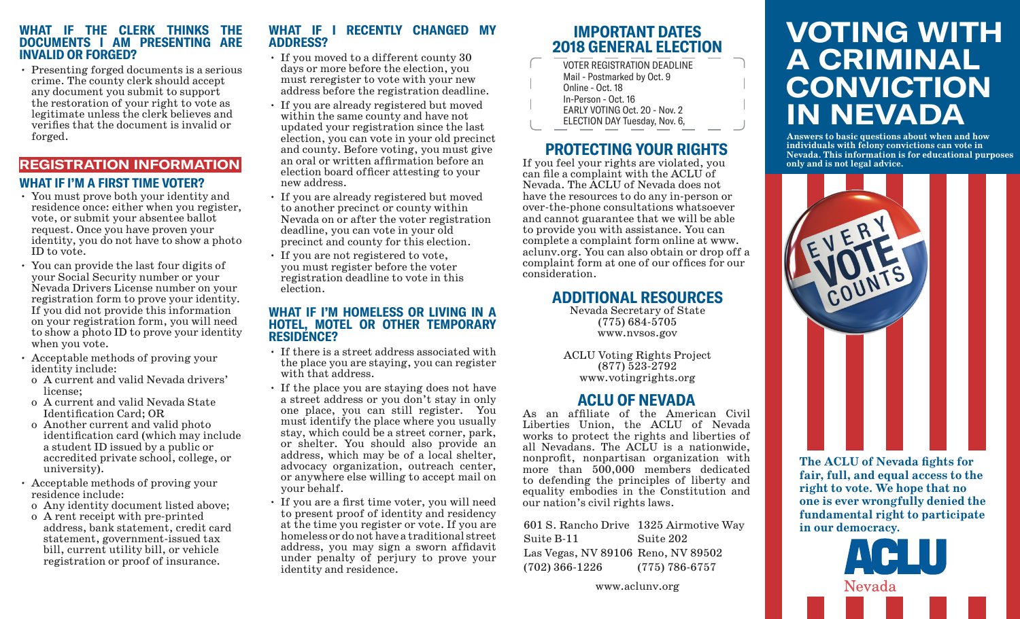#### **WHAT IF THE CLERK THINKS THE DOCUMENTS I AM PRESENTING ARE INVALID OR FORGED?**

• Presenting forged documents is a serious crime. The county clerk should accept any document you submit to support the restoration of your right to vote as legitimate unless the clerk believes and verifies that the document is invalid or forged.

# **REGISTRATION INFORMATION WHAT IF I'M A FIRST TIME VOTER?**

- You must prove both your identity and residence once: either when you register, vote, or submit your absentee ballot request. Once you have proven your identity, you do not have to show a photo ID to vote.
- You can provide the last four digits of your Social Security number or your Nevada Drivers License number on your registration form to prove your identity. If you did not provide this information on your registration form, you will need to show a photo ID to prove your identity when you vote.
- Acceptable methods of proving your identity include:
- o A current and valid Nevada drivers' license;
- o A current and valid Nevada State Identification Card; OR
- o Another current and valid photo identification card (which may include a student ID issued by a public or accredited private school, college, or university).
- Acceptable methods of proving your residence include:
- o Any identity document listed above;
- o A rent receipt with pre-printed address, bank statement, credit card statement, government-issued tax bill, current utility bill, or vehicle registration or proof of insurance.

## **WHAT IF I RECENTLY CHANGED MY ADDRESS?**

- If you moved to a different county 30 days or more before the election, you must reregister to vote with your new address before the registration deadline.
- If you are already registered but moved within the same county and have not updated your registration since the last election, you can vote in your old precinct and county. Before voting, you must give an oral or written affirmation before an election board officer attesting to your new address.
- If you are already registered but moved to another precinct or county within Nevada on or after the voter registration deadline, you can vote in your old precinct and county for this election.
- If you are not registered to vote, you must register before the voter registration deadline to vote in this election.

#### **WHAT IF I'M HOMELESS OR LIVING IN A HOTEL, MOTEL OR OTHER TEMPORARY RESIDENCE?**

- If there is a street address associated with the place you are staying, you can register with that address.
- If the place you are staying does not have a street address or you don't stay in only one place, you can still register. You must identify the place where you usually stay, which could be a street corner, park, or shelter. You should also provide an address, which may be of a local shelter, advocacy organization, outreach center, or anywhere else willing to accept mail on your behalf.
- If you are a first time voter, you will need to present proof of identity and residency at the time you register or vote. If you are homeless or do not have a traditional street address, you may sign a sworn affidavit under penalty of perjury to prove your identity and residence.

# **IMPORTANT DATES 2018 GENERAL ELECTION**

VOTER REGISTRATION DEADLINE Mail - Postmarked by Oct. 9 Online - Oct. 18 In-Person - Oct. 16 EARLY VOTING Oct. 20 - Nov. 2 ELECTION DAY Tuesday, Nov. 6,

# **PROTECTING YOUR RIGHTS**

If you feel your rights are violated, you can file a complaint with the ACLU of Nevada. The ACLU of Nevada does not have the resources to do any in-person or over-the-phone consultations whatsoever and cannot guarantee that we will be able to provide you with assistance. You can complete a complaint form online at www. aclunv.org. You can also obtain or drop off a complaint form at one of our offices for our consideration.

# **ADDITIONAL RESOURCES**

Nevada Secretary of State (775) 684-5705 www.nvsos.gov

ACLU Voting Rights Project (877) 523-2792 www.votingrights.org

# **ACLU OF NEVADA**

As an affiliate of the American Civil Liberties Union, the ACLU of Nevada works to protect the rights and liberties of all Nevadans. The ACLU is a nationwide, nonprofit, nonpartisan organization with more than 500,000 members dedicated to defending the principles of liberty and equality embodies in the Constitution and our nation's civil rights laws.

601 S. Rancho Drive 1325 Airmotive Way Suite B-11 Las Vegas, NV 89106 Reno, NV 89502 (702) 366-1226 Suite 202 (775) 786-6757

# **VOTING WITH A CRIMINAL CONVICTION IN NEVADA**

**Answers to basic questions about when and how individuals with felony convictions can vote in Nevada. This information is for educational purposes only and is not legal advice.**



**The ACLU of Nevada fights for fair, full, and equal access to the right to vote. We hope that no one is ever wrongfully denied the fundamental right to participate in our democracy.**